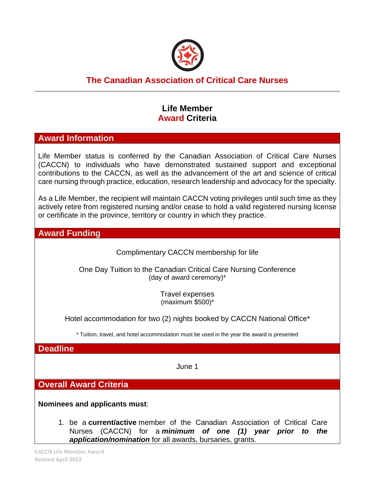

# **The Canadian Association of Critical Care Nurses**

### **Life Member Award Criteria**

#### **Award Information**

Life Member status is conferred by the Canadian Association of Critical Care Nurses (CACCN) to individuals who have demonstrated sustained support and exceptional contributions to the CACCN, as well as the advancement of the art and science of critical care nursing through practice, education, research leadership and advocacy for the specialty.

As a Life Member, the recipient will maintain CACCN voting privileges until such time as they actively retire from registered nursing and/or cease to hold a valid registered nursing license or certificate in the province, territory or country in which they practice.

#### **Award Funding**

Complimentary CACCN membership for life

One Day Tuition to the Canadian Critical Care Nursing Conference (day of award ceremony)\*

> Travel expenses (maximum \$500)\*

Hotel accommodation for two (2) nights booked by CACCN National Office\*

\* Tuition, travel, and hotel accommodation must be used in the year the award is presented

**Deadline**

June 1

**Overall Award Criteria**

**Nominees and applicants must**:

1. be a **current/active** member of the Canadian Association of Critical Care Nurses (CACCN) for a *minimum of one (1) year prior to the application/nomination* for all awards, bursaries, grants.

**CACCN Life Member Award Revised April 2022**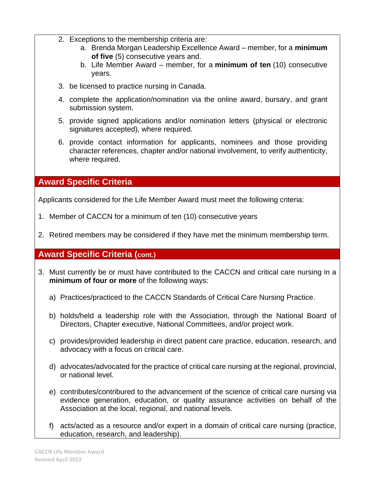- 2. Exceptions to the membership criteria are:
	- a. Brenda Morgan Leadership Excellence Award member, for a **minimum of five** (5) consecutive years and.
	- b. Life Member Award member, for a **minimum of ten** (10) consecutive years.
- 3. be licensed to practice nursing in Canada.
- 4. complete the application/nomination via the online award, bursary, and grant submission system.
- 5. provide signed applications and/or nomination letters (physical or electronic signatures accepted), where required.
- 6. provide contact information for applicants, nominees and those providing character references, chapter and/or national involvement, to verify authenticity, where required.

## **Award Specific Criteria**

Applicants considered for the Life Member Award must meet the following criteria:

- 1. Member of CACCN for a minimum of ten (10) consecutive years
- 2. Retired members may be considered if they have met the minimum membership term.

## **Award Specific Criteria (cont.)**

- 3. Must currently be or must have contributed to the CACCN and critical care nursing in a **minimum of four or more** of the following ways:
	- a) Practices/practiced to the CACCN Standards of Critical Care Nursing Practice.
	- b) holds/held a leadership role with the Association, through the National Board of Directors, Chapter executive, National Committees, and/or project work.
	- c) provides/provided leadership in direct patient care practice, education, research, and advocacy with a focus on critical care.
	- d) advocates/advocated for the practice of critical care nursing at the regional, provincial, or national level.
	- e) contributes/contribured to the advancement of the science of critical care nursing via evidence generation, education, or quality assurance activities on behalf of the Association at the local, regional, and national levels.
	- f) acts/acted as a resource and/or expert in a domain of critical care nursing (practice, education, research, and leadership).